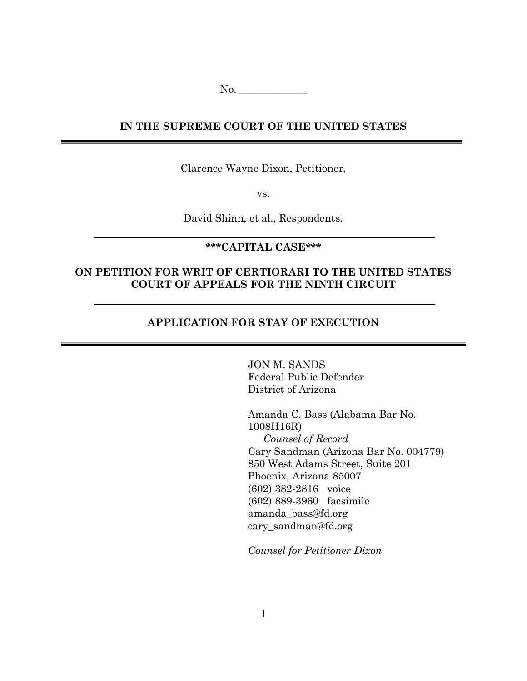No. \_\_\_\_\_\_\_\_\_\_\_\_\_

# **IN THE SUPREME COURT OF THE UNITED STATES**

Clarence Wayne Dixon, Petitioner,

vs.

David Shinn, et al., Respondents.

# **\*\*\*CAPITAL CASE\*\*\***

# **ON PETITION FOR WRIT OF CERTIORARI TO THE UNITED STATES COURT OF APPEALS FOR THE NINTH CIRCUIT**

# **APPLICATION FOR STAY OF EXECUTION**

JON M. SANDS Federal Public Defender District of Arizona

Amanda C. Bass (Alabama Bar No. 1008H16R) *Counsel of Record* Cary Sandman (Arizona Bar No. 004779) 850 West Adams Street, Suite 201 Phoenix, Arizona 85007 (602) 382-2816 voice (602) 889-3960 facsimile amanda\_bass@fd.org cary\_sandman@fd.org

*Counsel for Petitioner Dixon*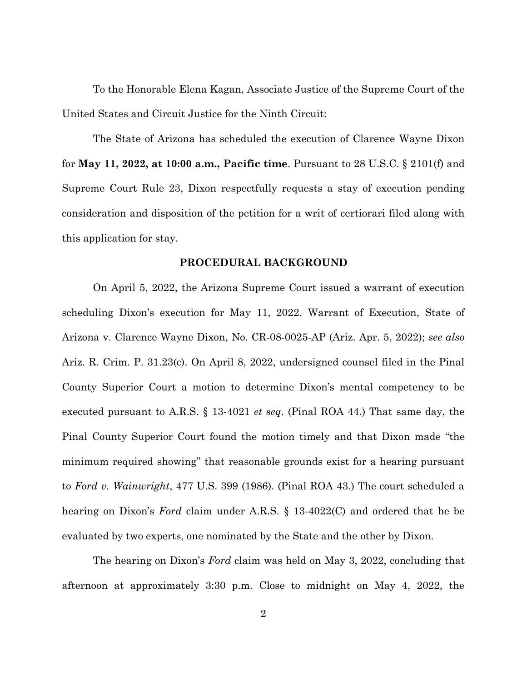To the Honorable Elena Kagan, Associate Justice of the Supreme Court of the United States and Circuit Justice for the Ninth Circuit:

The State of Arizona has scheduled the execution of Clarence Wayne Dixon for **May 11, 2022, at 10:00 a.m., Pacific time**. Pursuant to 28 U.S.C. § 2101(f) and Supreme Court Rule 23, Dixon respectfully requests a stay of execution pending consideration and disposition of the petition for a writ of certiorari filed along with this application for stay.

#### **PROCEDURAL BACKGROUND**

On April 5, 2022, the Arizona Supreme Court issued a warrant of execution scheduling Dixon's execution for May 11, 2022. Warrant of Execution, State of Arizona v. Clarence Wayne Dixon, No. CR-08-0025-AP (Ariz. Apr. 5, 2022); *see also* Ariz. R. Crim. P. 31.23(c). On April 8, 2022, undersigned counsel filed in the Pinal County Superior Court a motion to determine Dixon's mental competency to be executed pursuant to A.R.S. § 13-4021 *et seq*. (Pinal ROA 44.) That same day, the Pinal County Superior Court found the motion timely and that Dixon made "the minimum required showing" that reasonable grounds exist for a hearing pursuant to *Ford v. Wainwright*, 477 U.S. 399 (1986). (Pinal ROA 43.) The court scheduled a hearing on Dixon's *Ford* claim under A.R.S. § 13-4022(C) and ordered that he be evaluated by two experts, one nominated by the State and the other by Dixon.

The hearing on Dixon's *Ford* claim was held on May 3, 2022, concluding that afternoon at approximately 3:30 p.m. Close to midnight on May 4, 2022, the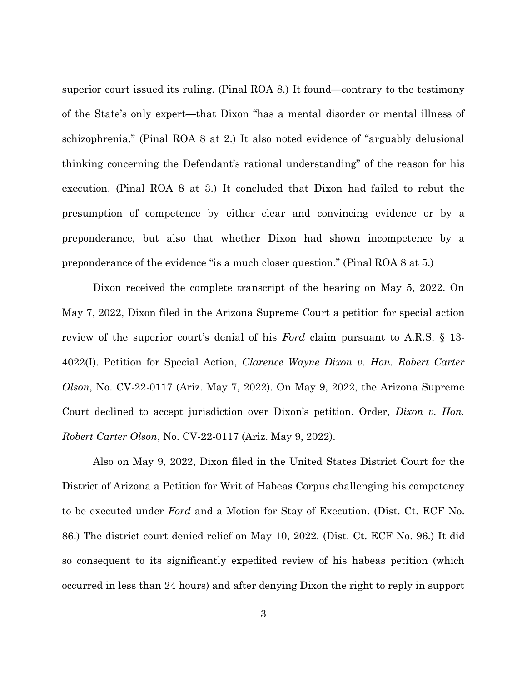superior court issued its ruling. (Pinal ROA 8.) It found—contrary to the testimony of the State's only expert—that Dixon "has a mental disorder or mental illness of schizophrenia." (Pinal ROA 8 at 2.) It also noted evidence of "arguably delusional thinking concerning the Defendant's rational understanding" of the reason for his execution. (Pinal ROA 8 at 3.) It concluded that Dixon had failed to rebut the presumption of competence by either clear and convincing evidence or by a preponderance, but also that whether Dixon had shown incompetence by a preponderance of the evidence "is a much closer question." (Pinal ROA 8 at 5.)

Dixon received the complete transcript of the hearing on May 5, 2022. On May 7, 2022, Dixon filed in the Arizona Supreme Court a petition for special action review of the superior court's denial of his *Ford* claim pursuant to A.R.S. § 13- 4022(I). Petition for Special Action, *Clarence Wayne Dixon v. Hon. Robert Carter Olson*, No. CV-22-0117 (Ariz. May 7, 2022). On May 9, 2022, the Arizona Supreme Court declined to accept jurisdiction over Dixon's petition. Order, *Dixon v. Hon. Robert Carter Olson*, No. CV-22-0117 (Ariz. May 9, 2022).

Also on May 9, 2022, Dixon filed in the United States District Court for the District of Arizona a Petition for Writ of Habeas Corpus challenging his competency to be executed under *Ford* and a Motion for Stay of Execution. (Dist. Ct. ECF No. 86.) The district court denied relief on May 10, 2022. (Dist. Ct. ECF No. 96.) It did so consequent to its significantly expedited review of his habeas petition (which occurred in less than 24 hours) and after denying Dixon the right to reply in support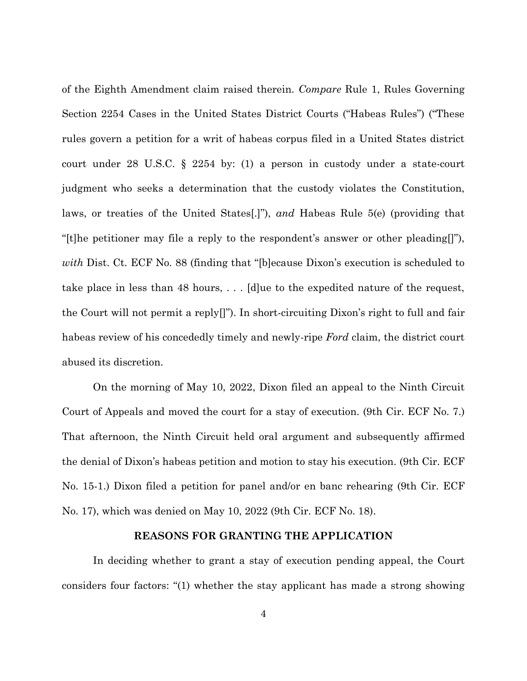of the Eighth Amendment claim raised therein. *Compare* Rule 1, Rules Governing Section 2254 Cases in the United States District Courts ("Habeas Rules") ("These rules govern a petition for a writ of habeas corpus filed in a United States district court under 28 U.S.C. § 2254 by: (1) a person in custody under a state-court judgment who seeks a determination that the custody violates the Constitution, laws, or treaties of the United States[.]"), *and* Habeas Rule 5(e) (providing that "[t]he petitioner may file a reply to the respondent's answer or other pleading[]"), *with* Dist. Ct. ECF No. 88 (finding that "[b]ecause Dixon's execution is scheduled to take place in less than 48 hours, . . . [d]ue to the expedited nature of the request, the Court will not permit a reply  $\vert \vert$ "). In short-circuiting Dixon's right to full and fair habeas review of his concededly timely and newly-ripe *Ford* claim, the district court abused its discretion.

On the morning of May 10, 2022, Dixon filed an appeal to the Ninth Circuit Court of Appeals and moved the court for a stay of execution. (9th Cir. ECF No. 7.) That afternoon, the Ninth Circuit held oral argument and subsequently affirmed the denial of Dixon's habeas petition and motion to stay his execution. (9th Cir. ECF No. 15-1.) Dixon filed a petition for panel and/or en banc rehearing (9th Cir. ECF No. 17), which was denied on May 10, 2022 (9th Cir. ECF No. 18).

#### **REASONS FOR GRANTING THE APPLICATION**

In deciding whether to grant a stay of execution pending appeal, the Court considers four factors: "(1) whether the stay applicant has made a strong showing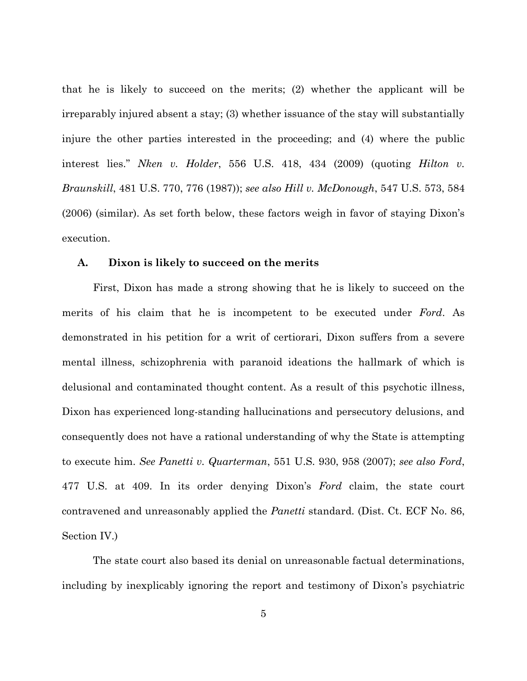that he is likely to succeed on the merits; (2) whether the applicant will be irreparably injured absent a stay; (3) whether issuance of the stay will substantially injure the other parties interested in the proceeding; and (4) where the public interest lies." *Nken v. Holder*, 556 U.S. 418, 434 (2009) (quoting *Hilton v. Braunskill*, 481 U.S. 770, 776 (1987)); *see also Hill v. McDonough*, 547 U.S. 573, 584 (2006) (similar). As set forth below, these factors weigh in favor of staying Dixon's execution.

## **A. Dixon is likely to succeed on the merits**

First, Dixon has made a strong showing that he is likely to succeed on the merits of his claim that he is incompetent to be executed under *Ford*. As demonstrated in his petition for a writ of certiorari, Dixon suffers from a severe mental illness, schizophrenia with paranoid ideations the hallmark of which is delusional and contaminated thought content. As a result of this psychotic illness, Dixon has experienced long-standing hallucinations and persecutory delusions, and consequently does not have a rational understanding of why the State is attempting to execute him. *See Panetti v. Quarterman*, 551 U.S. 930, 958 (2007); *see also Ford*, 477 U.S. at 409. In its order denying Dixon's *Ford* claim, the state court contravened and unreasonably applied the *Panetti* standard. (Dist. Ct. ECF No. 86, Section IV.)

The state court also based its denial on unreasonable factual determinations, including by inexplicably ignoring the report and testimony of Dixon's psychiatric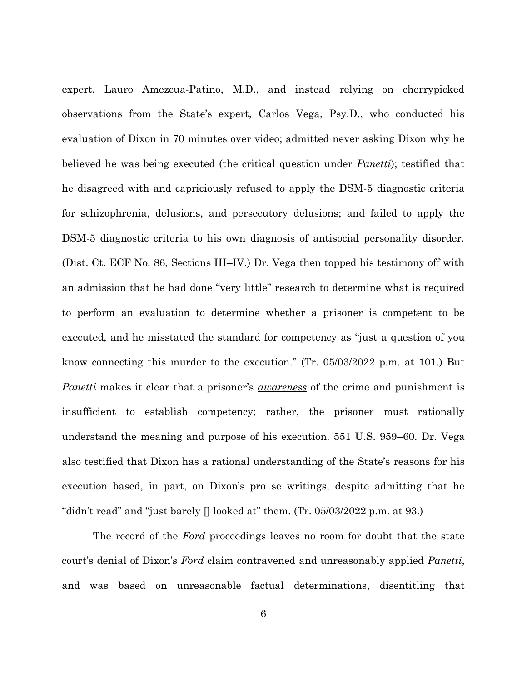expert, Lauro Amezcua-Patino, M.D., and instead relying on cherrypicked observations from the State's expert, Carlos Vega, Psy.D., who conducted his evaluation of Dixon in 70 minutes over video; admitted never asking Dixon why he believed he was being executed (the critical question under *Panetti*); testified that he disagreed with and capriciously refused to apply the DSM-5 diagnostic criteria for schizophrenia, delusions, and persecutory delusions; and failed to apply the DSM-5 diagnostic criteria to his own diagnosis of antisocial personality disorder. (Dist. Ct. ECF No. 86, Sections III–IV.) Dr. Vega then topped his testimony off with an admission that he had done "very little" research to determine what is required to perform an evaluation to determine whether a prisoner is competent to be executed, and he misstated the standard for competency as "just a question of you know connecting this murder to the execution." (Tr. 05/03/2022 p.m. at 101.) But *Panetti* makes it clear that a prisoner's *awareness* of the crime and punishment is insufficient to establish competency; rather, the prisoner must rationally understand the meaning and purpose of his execution. 551 U.S. 959–60. Dr. Vega also testified that Dixon has a rational understanding of the State's reasons for his execution based, in part, on Dixon's pro se writings, despite admitting that he "didn't read" and "just barely  $\Box$  looked at" them. (Tr. 05/03/2022 p.m. at 93.)

The record of the *Ford* proceedings leaves no room for doubt that the state court's denial of Dixon's *Ford* claim contravened and unreasonably applied *Panetti*, and was based on unreasonable factual determinations, disentitling that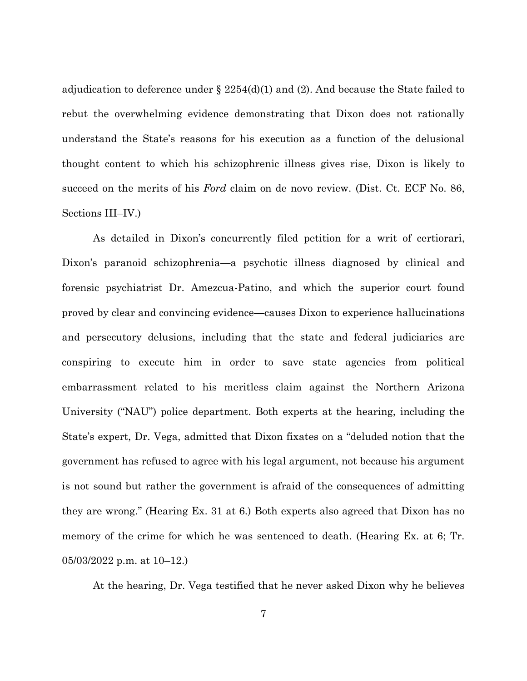adjudication to deference under  $\S$  2254(d)(1) and (2). And because the State failed to rebut the overwhelming evidence demonstrating that Dixon does not rationally understand the State's reasons for his execution as a function of the delusional thought content to which his schizophrenic illness gives rise, Dixon is likely to succeed on the merits of his *Ford* claim on de novo review. (Dist. Ct. ECF No. 86, Sections III–IV.)

As detailed in Dixon's concurrently filed petition for a writ of certiorari, Dixon's paranoid schizophrenia—a psychotic illness diagnosed by clinical and forensic psychiatrist Dr. Amezcua-Patino, and which the superior court found proved by clear and convincing evidence—causes Dixon to experience hallucinations and persecutory delusions, including that the state and federal judiciaries are conspiring to execute him in order to save state agencies from political embarrassment related to his meritless claim against the Northern Arizona University ("NAU") police department. Both experts at the hearing, including the State's expert, Dr. Vega, admitted that Dixon fixates on a "deluded notion that the government has refused to agree with his legal argument, not because his argument is not sound but rather the government is afraid of the consequences of admitting they are wrong." (Hearing Ex. 31 at 6.) Both experts also agreed that Dixon has no memory of the crime for which he was sentenced to death. (Hearing Ex. at 6; Tr. 05/03/2022 p.m. at 10–12.)

At the hearing, Dr. Vega testified that he never asked Dixon why he believes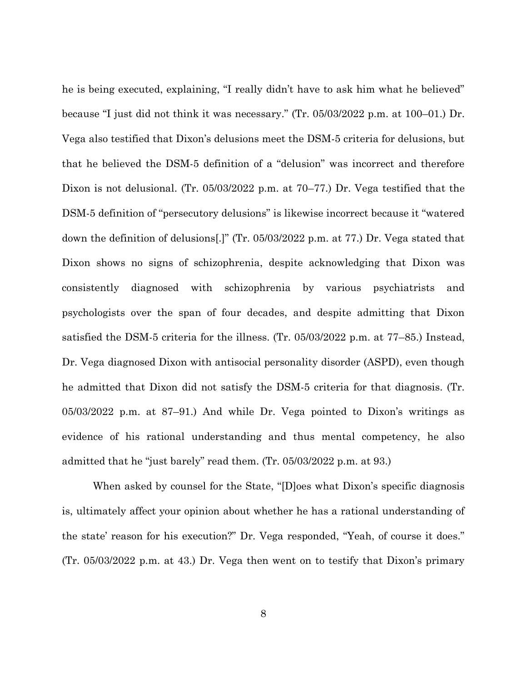he is being executed, explaining, "I really didn't have to ask him what he believed" because "I just did not think it was necessary." (Tr. 05/03/2022 p.m. at 100–01.) Dr. Vega also testified that Dixon's delusions meet the DSM-5 criteria for delusions, but that he believed the DSM-5 definition of a "delusion" was incorrect and therefore Dixon is not delusional. (Tr. 05/03/2022 p.m. at 70–77.) Dr. Vega testified that the DSM-5 definition of "persecutory delusions" is likewise incorrect because it "watered down the definition of delusions[.]" (Tr. 05/03/2022 p.m. at 77.) Dr. Vega stated that Dixon shows no signs of schizophrenia, despite acknowledging that Dixon was consistently diagnosed with schizophrenia by various psychiatrists and psychologists over the span of four decades, and despite admitting that Dixon satisfied the DSM-5 criteria for the illness. (Tr. 05/03/2022 p.m. at 77–85.) Instead, Dr. Vega diagnosed Dixon with antisocial personality disorder (ASPD), even though he admitted that Dixon did not satisfy the DSM-5 criteria for that diagnosis. (Tr. 05/03/2022 p.m. at 87–91.) And while Dr. Vega pointed to Dixon's writings as evidence of his rational understanding and thus mental competency, he also admitted that he "just barely" read them. (Tr. 05/03/2022 p.m. at 93.)

When asked by counsel for the State, "[D]oes what Dixon's specific diagnosis is, ultimately affect your opinion about whether he has a rational understanding of the state' reason for his execution?" Dr. Vega responded, "Yeah, of course it does." (Tr. 05/03/2022 p.m. at 43.) Dr. Vega then went on to testify that Dixon's primary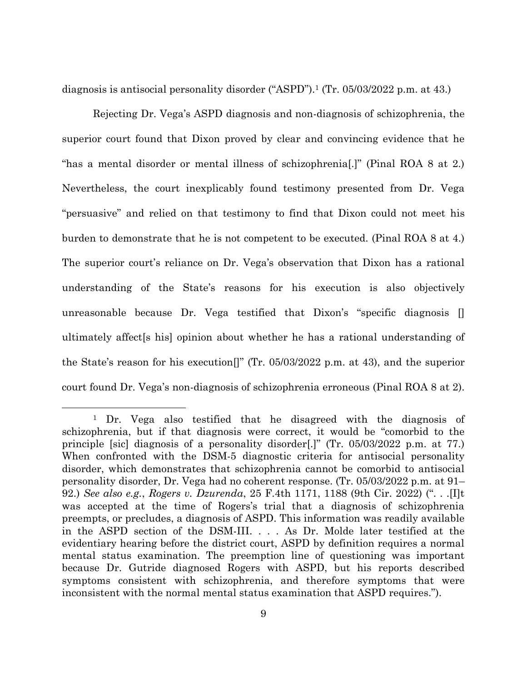diagnosis is antisocial personality disorder ("ASPD").<sup>1</sup> (Tr. 05/03/2022 p.m. at 43.)

Rejecting Dr. Vega's ASPD diagnosis and non-diagnosis of schizophrenia, the superior court found that Dixon proved by clear and convincing evidence that he "has a mental disorder or mental illness of schizophrenia[.]" (Pinal ROA 8 at 2.) Nevertheless, the court inexplicably found testimony presented from Dr. Vega "persuasive" and relied on that testimony to find that Dixon could not meet his burden to demonstrate that he is not competent to be executed. (Pinal ROA 8 at 4.) The superior court's reliance on Dr. Vega's observation that Dixon has a rational understanding of the State's reasons for his execution is also objectively unreasonable because Dr. Vega testified that Dixon's "specific diagnosis [] ultimately affect[s his] opinion about whether he has a rational understanding of the State's reason for his execution[]" (Tr. 05/03/2022 p.m. at 43), and the superior court found Dr. Vega's non-diagnosis of schizophrenia erroneous (Pinal ROA 8 at 2).

<sup>1</sup> Dr. Vega also testified that he disagreed with the diagnosis of schizophrenia, but if that diagnosis were correct, it would be "comorbid to the principle [sic] diagnosis of a personality disorder[.]" (Tr. 05/03/2022 p.m. at 77.) When confronted with the DSM-5 diagnostic criteria for antisocial personality disorder, which demonstrates that schizophrenia cannot be comorbid to antisocial personality disorder, Dr. Vega had no coherent response. (Tr. 05/03/2022 p.m. at 91– 92.) *See also e.g.*, *Rogers v. Dzurenda*, 25 F.4th 1171, 1188 (9th Cir. 2022) (". . .[I]t was accepted at the time of Rogers's trial that a diagnosis of schizophrenia preempts, or precludes, a diagnosis of ASPD. This information was readily available in the ASPD section of the DSM-III. . . . As Dr. Molde later testified at the evidentiary hearing before the district court, ASPD by definition requires a normal mental status examination. The preemption line of questioning was important because Dr. Gutride diagnosed Rogers with ASPD, but his reports described symptoms consistent with schizophrenia, and therefore symptoms that were inconsistent with the normal mental status examination that ASPD requires.").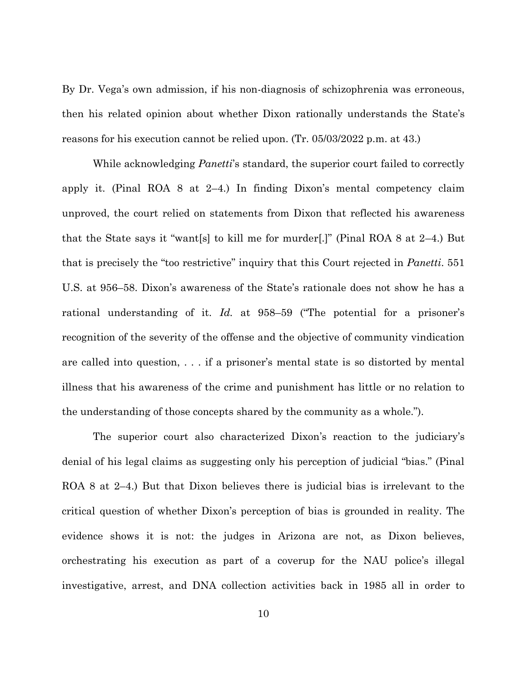By Dr. Vega's own admission, if his non-diagnosis of schizophrenia was erroneous, then his related opinion about whether Dixon rationally understands the State's reasons for his execution cannot be relied upon. (Tr. 05/03/2022 p.m. at 43.)

While acknowledging *Panetti*'s standard, the superior court failed to correctly apply it. (Pinal ROA 8 at 2–4.) In finding Dixon's mental competency claim unproved, the court relied on statements from Dixon that reflected his awareness that the State says it "want[s] to kill me for murder[.]" (Pinal ROA 8 at 2–4.) But that is precisely the "too restrictive" inquiry that this Court rejected in *Panetti*. 551 U.S. at 956–58. Dixon's awareness of the State's rationale does not show he has a rational understanding of it. *Id.* at 958–59 ("The potential for a prisoner's recognition of the severity of the offense and the objective of community vindication are called into question, . . . if a prisoner's mental state is so distorted by mental illness that his awareness of the crime and punishment has little or no relation to the understanding of those concepts shared by the community as a whole.").

The superior court also characterized Dixon's reaction to the judiciary's denial of his legal claims as suggesting only his perception of judicial "bias." (Pinal ROA 8 at 2–4.) But that Dixon believes there is judicial bias is irrelevant to the critical question of whether Dixon's perception of bias is grounded in reality. The evidence shows it is not: the judges in Arizona are not, as Dixon believes, orchestrating his execution as part of a coverup for the NAU police's illegal investigative, arrest, and DNA collection activities back in 1985 all in order to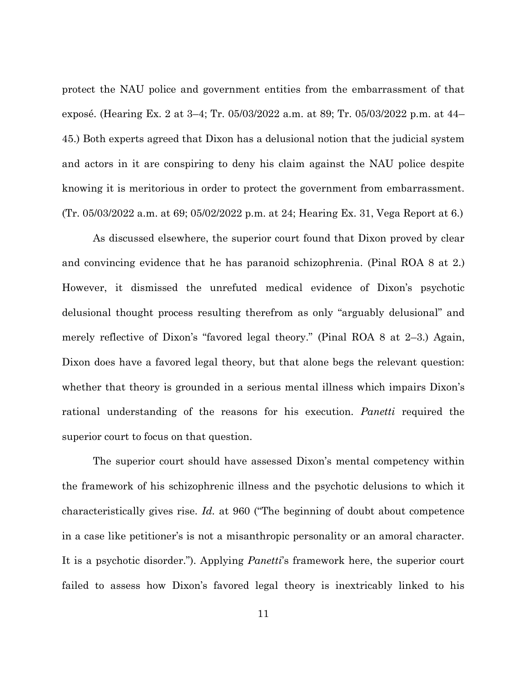protect the NAU police and government entities from the embarrassment of that exposé. (Hearing Ex. 2 at 3–4; Tr. 05/03/2022 a.m. at 89; Tr. 05/03/2022 p.m. at 44– 45.) Both experts agreed that Dixon has a delusional notion that the judicial system and actors in it are conspiring to deny his claim against the NAU police despite knowing it is meritorious in order to protect the government from embarrassment. (Tr. 05/03/2022 a.m. at 69; 05/02/2022 p.m. at 24; Hearing Ex. 31, Vega Report at 6.)

As discussed elsewhere, the superior court found that Dixon proved by clear and convincing evidence that he has paranoid schizophrenia. (Pinal ROA 8 at 2.) However, it dismissed the unrefuted medical evidence of Dixon's psychotic delusional thought process resulting therefrom as only "arguably delusional" and merely reflective of Dixon's "favored legal theory." (Pinal ROA 8 at 2–3.) Again, Dixon does have a favored legal theory, but that alone begs the relevant question: whether that theory is grounded in a serious mental illness which impairs Dixon's rational understanding of the reasons for his execution. *Panetti* required the superior court to focus on that question.

The superior court should have assessed Dixon's mental competency within the framework of his schizophrenic illness and the psychotic delusions to which it characteristically gives rise. *Id.* at 960 ("The beginning of doubt about competence in a case like petitioner's is not a misanthropic personality or an amoral character. It is a psychotic disorder."). Applying *Panetti*'s framework here, the superior court failed to assess how Dixon's favored legal theory is inextricably linked to his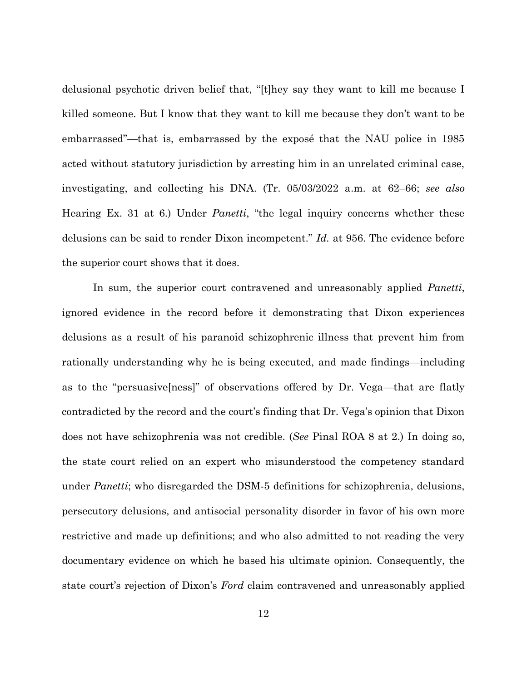delusional psychotic driven belief that, "[t]hey say they want to kill me because I killed someone. But I know that they want to kill me because they don't want to be embarrassed"—that is, embarrassed by the exposé that the NAU police in 1985 acted without statutory jurisdiction by arresting him in an unrelated criminal case, investigating, and collecting his DNA. (Tr. 05/03/2022 a.m. at 62–66; *see also* Hearing Ex. 31 at 6.) Under *Panetti*, "the legal inquiry concerns whether these delusions can be said to render Dixon incompetent." *Id.* at 956. The evidence before the superior court shows that it does.

In sum, the superior court contravened and unreasonably applied *Panetti*, ignored evidence in the record before it demonstrating that Dixon experiences delusions as a result of his paranoid schizophrenic illness that prevent him from rationally understanding why he is being executed, and made findings—including as to the "persuasive[ness]" of observations offered by Dr. Vega—that are flatly contradicted by the record and the court's finding that Dr. Vega's opinion that Dixon does not have schizophrenia was not credible. (*See* Pinal ROA 8 at 2.) In doing so, the state court relied on an expert who misunderstood the competency standard under *Panetti*; who disregarded the DSM-5 definitions for schizophrenia, delusions, persecutory delusions, and antisocial personality disorder in favor of his own more restrictive and made up definitions; and who also admitted to not reading the very documentary evidence on which he based his ultimate opinion. Consequently, the state court's rejection of Dixon's *Ford* claim contravened and unreasonably applied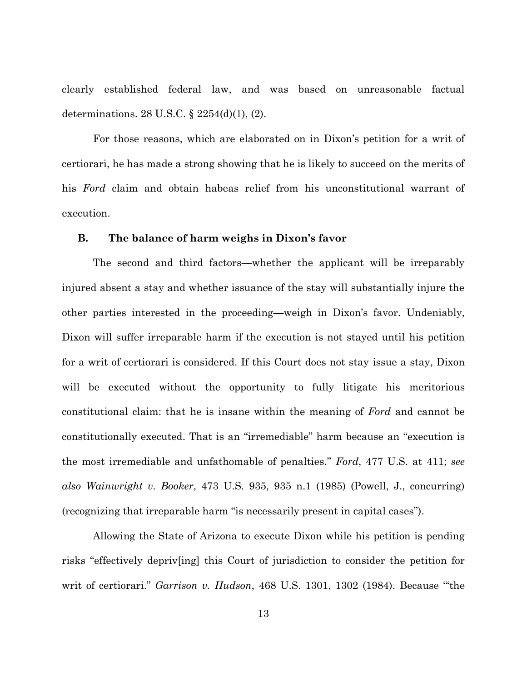clearly established federal law, and was based on unreasonable factual determinations. 28 U.S.C. § 2254(d)(1), (2).

For those reasons, which are elaborated on in Dixon's petition for a writ of certiorari, he has made a strong showing that he is likely to succeed on the merits of his *Ford* claim and obtain habeas relief from his unconstitutional warrant of execution.

## **B. The balance of harm weighs in Dixon's favor**

The second and third factors—whether the applicant will be irreparably injured absent a stay and whether issuance of the stay will substantially injure the other parties interested in the proceeding—weigh in Dixon's favor. Undeniably, Dixon will suffer irreparable harm if the execution is not stayed until his petition for a writ of certiorari is considered. If this Court does not stay issue a stay, Dixon will be executed without the opportunity to fully litigate his meritorious constitutional claim: that he is insane within the meaning of *Ford* and cannot be constitutionally executed. That is an "irremediable" harm because an "execution is the most irremediable and unfathomable of penalties." *Ford*, 477 U.S. at 411; *see also Wainwright v. Booker*, 473 U.S. 935, 935 n.1 (1985) (Powell, J., concurring) (recognizing that irreparable harm "is necessarily present in capital cases").

Allowing the State of Arizona to execute Dixon while his petition is pending risks "effectively depriv[ing] this Court of jurisdiction to consider the petition for writ of certiorari." *Garrison v. Hudson*, 468 U.S. 1301, 1302 (1984). Because "'the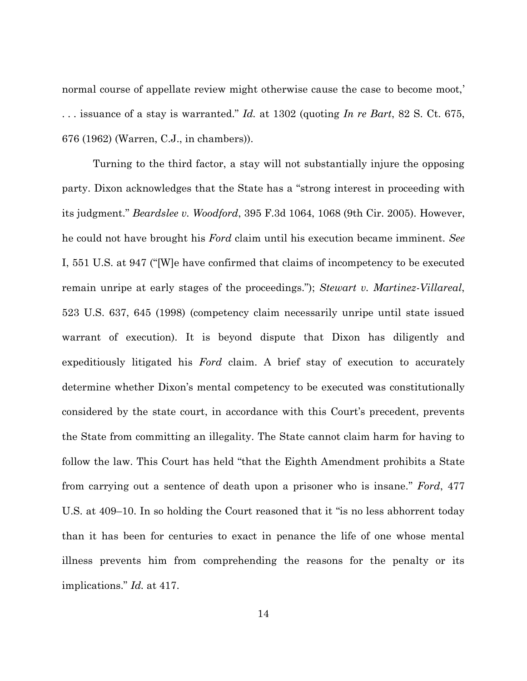normal course of appellate review might otherwise cause the case to become moot,' . . . issuance of a stay is warranted." *Id.* at 1302 (quoting *In re Bart*, 82 S. Ct. 675, 676 (1962) (Warren, C.J., in chambers)).

Turning to the third factor, a stay will not substantially injure the opposing party. Dixon acknowledges that the State has a "strong interest in proceeding with its judgment." *Beardslee v. Woodford*, 395 F.3d 1064, 1068 (9th Cir. 2005). However, he could not have brought his *Ford* claim until his execution became imminent. *See* I, 551 U.S. at 947 ("[W]e have confirmed that claims of incompetency to be executed remain unripe at early stages of the proceedings."); *Stewart v. Martinez-Villareal*, 523 U.S. 637, 645 (1998) (competency claim necessarily unripe until state issued warrant of execution). It is beyond dispute that Dixon has diligently and expeditiously litigated his *Ford* claim. A brief stay of execution to accurately determine whether Dixon's mental competency to be executed was constitutionally considered by the state court, in accordance with this Court's precedent, prevents the State from committing an illegality. The State cannot claim harm for having to follow the law. This Court has held "that the Eighth Amendment prohibits a State from carrying out a sentence of death upon a prisoner who is insane." *Ford*, 477 U.S. at 409–10. In so holding the Court reasoned that it "is no less abhorrent today than it has been for centuries to exact in penance the life of one whose mental illness prevents him from comprehending the reasons for the penalty or its implications." *Id.* at 417.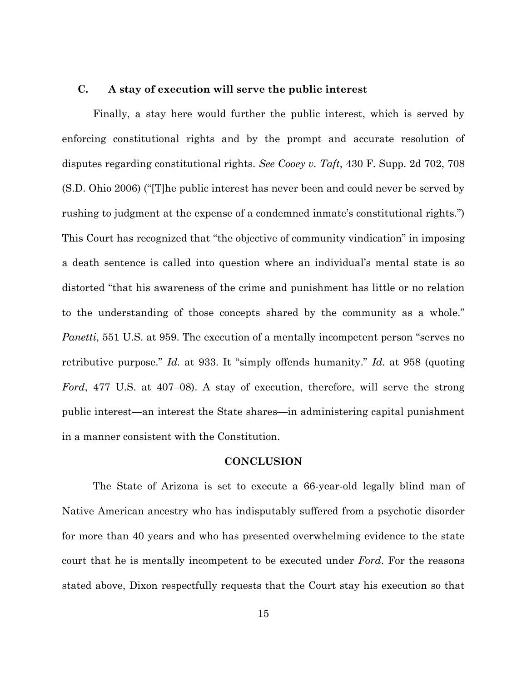## **C. A stay of execution will serve the public interest**

Finally, a stay here would further the public interest, which is served by enforcing constitutional rights and by the prompt and accurate resolution of disputes regarding constitutional rights. *See Cooey v. Taft*, 430 F. Supp. 2d 702, 708 (S.D. Ohio 2006) ("[T]he public interest has never been and could never be served by rushing to judgment at the expense of a condemned inmate's constitutional rights.") This Court has recognized that "the objective of community vindication" in imposing a death sentence is called into question where an individual's mental state is so distorted "that his awareness of the crime and punishment has little or no relation to the understanding of those concepts shared by the community as a whole." *Panetti*, 551 U.S. at 959. The execution of a mentally incompetent person "serves no retributive purpose." *Id.* at 933. It "simply offends humanity." *Id.* at 958 (quoting *Ford*, 477 U.S. at 407–08). A stay of execution, therefore, will serve the strong public interest—an interest the State shares—in administering capital punishment in a manner consistent with the Constitution.

#### **CONCLUSION**

The State of Arizona is set to execute a 66-year-old legally blind man of Native American ancestry who has indisputably suffered from a psychotic disorder for more than 40 years and who has presented overwhelming evidence to the state court that he is mentally incompetent to be executed under *Ford*. For the reasons stated above, Dixon respectfully requests that the Court stay his execution so that